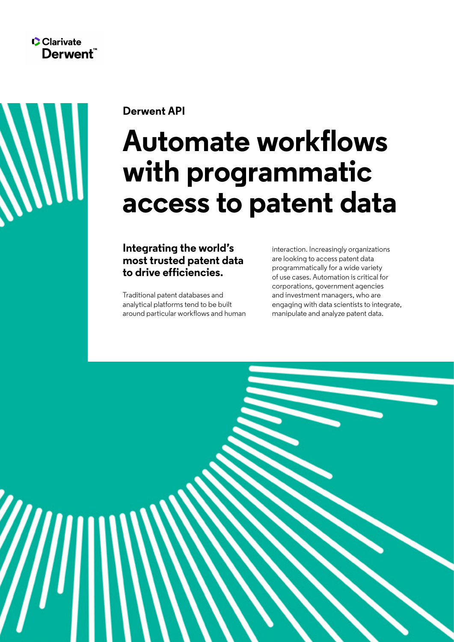

**Derwent API**

# **Automate workflows with programmatic access to patent data**

**Integrating the world's most trusted patent data to drive efficiencies.**

Traditional patent databases and analytical platforms tend to be built around particular workflows and human interaction. Increasingly organizations are looking to access patent data programmatically for a wide variety of use cases. Automation is critical for corporations, government agencies and investment managers, who are engaging with data scientists to integrate, manipulate and analyze patent data.

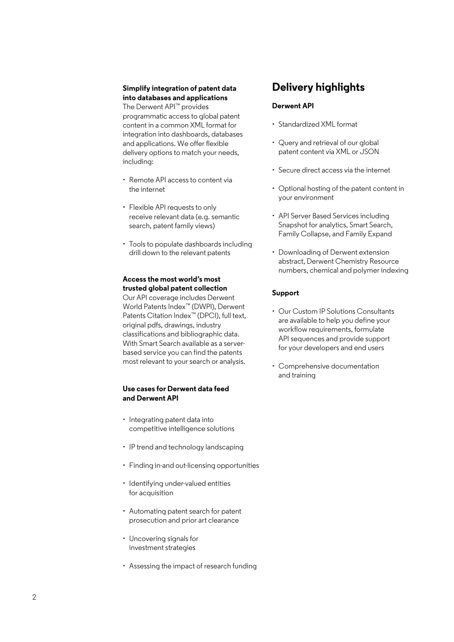## **Simplify integration of patent data into databases and applications**

The Derwent API™ provides programmatic access to global patent content in a common XML format for integration into dashboards, databases and applications. We offer flexible delivery options to match your needs, including:

- Remote API access to content via the internet
- Flexible API requests to only receive relevant data (e.g. semantic search, patent family views)
- Tools to populate dashboards including drill down to the relevant patents

## **Access the most world's most trusted global patent collection**

Our API coverage includes Derwent World Patents Index™ (DWPI), Derwent Patents Citation Index™ (DPCI), full text, original pdfs, drawings, industry classifications and bibliographic data. With Smart Search available as a serverbased service you can find the patents most relevant to your search or analysis.

## **Use cases for Derwent data feed and Derwent API**

- Integrating patent data into competitive intelligence solutions
- IP trend and technology landscaping
- Finding in-and out-licensing opportunities
- Identifying under-valued entities for acquisition
- Automating patent search for patent prosecution and prior art clearance
- Uncovering signals for investment strategies
- Assessing the impact of research funding

# **Delivery highlights**

## **Derwent API**

- Standardized XML format
- Query and retrieval of our global patent content via XML or JSON
- Secure direct access via the internet
- Optional hosting of the patent content in your environment
- API Server Based Services including Snapshot for analytics, Smart Search, Family Collapse, and Family Expand
- Downloading of Derwent extension abstract, Derwent Chemistry Resource numbers, chemical and polymer indexing

#### **Support**

- Our Custom IP Solutions Consultants are available to help you define your workflow requirements, formulate API sequences and provide support for your developers and end users
- Comprehensive documentation and training